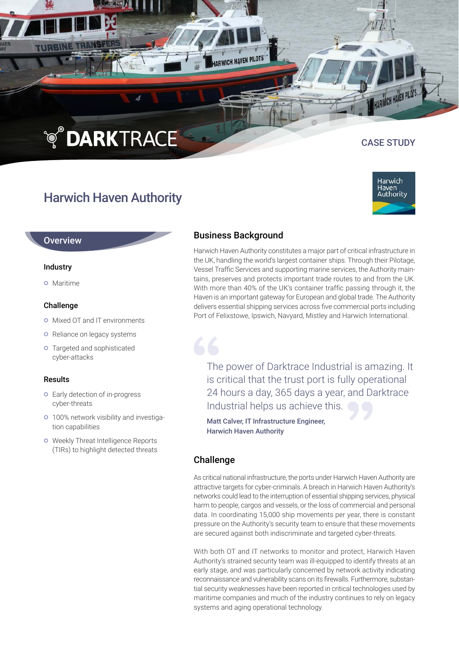# **TO DARKTRACE**

# Harwich Haven Authority

# CASE STUDY

HARWICH HAVEN PILOTS.



#### **Overview**

#### Industry

**o** Maritime

#### Challenge

- o Mixed OT and IT environments
- o Reliance on legacy systems
- **o** Targeted and sophisticated cyber-attacks

#### Results

- **o** Early detection of in-progress cyber-threats
- o 100% network visibility and investigation capabilities
- o Weekly Threat Intelligence Reports (TIRs) to highlight detected threats

## Business Background

RWICH HAVEN PILOTS

Harwich Haven Authority constitutes a major part of critical infrastructure in the UK, handling the world's largest container ships. Through their Pilotage, Vessel Traffic Services and supporting marine services, the Authority maintains, preserves and protects important trade routes to and from the UK. With more than 40% of the UK's container traffic passing through it, the Haven is an important gateway for European and global trade. The Authority delivers essential shipping services across five commercial ports including Port of Felixstowe, Ipswich, Navyard, Mistley and Harwich International.

The power of Darktrace Industrial is amazing. It is critical that the trust port is fully operational 24 hours a day, 365 days a year, and Darktrace Industrial helps us achieve this.

Matt Calver, IT Infrastructure Engineer, Harwich Haven Authority

## **Challenge**

As critical national infrastructure, the ports under Harwich Haven Authority are attractive targets for cyber-criminals. A breach in Harwich Haven Authority's networks could lead to the interruption of essential shipping services, physical harm to people, cargos and vessels, or the loss of commercial and personal data. In coordinating 15,000 ship movements per year, there is constant pressure on the Authority's security team to ensure that these movements are secured against both indiscriminate and targeted cyber-threats.

With both OT and IT networks to monitor and protect, Harwich Haven Authority's strained security team was ill-equipped to identify threats at an early stage, and was particularly concerned by network activity indicating reconnaissance and vulnerability scans on its firewalls. Furthermore, substantial security weaknesses have been reported in critical technologies used by maritime companies and much of the industry continues to rely on legacy systems and aging operational technology.